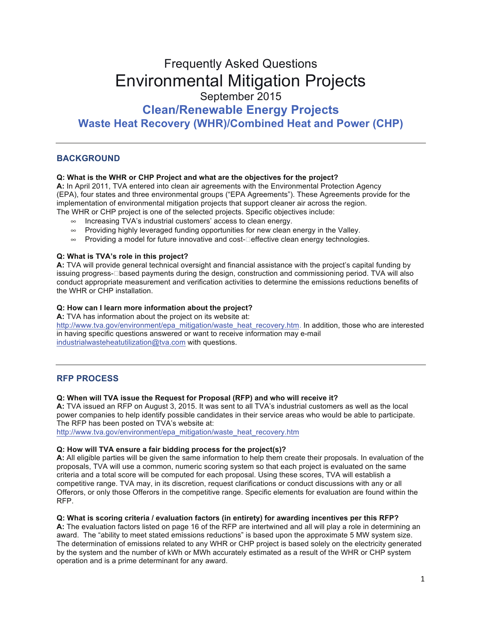# **Frequently Asked Questions** Environmental Mitigation Projects September 2015 **Clean/Renewable Energy Projects**

**Waste Heat Recovery (WHR)/Combined Heat and Power (CHP)**

# **BACKGROUND**

# **Q: What is the WHR or CHP Project and what are the objectives for the project?**

A: In April 2011, TVA entered into clean air agreements with the Environmental Protection Agency (EPA), four states and three environmental groups ("EPA Agreements"). These Agreements provide for the implementation of environmental mitigation projects that support cleaner air across the region.

The WHR or CHP project is one of the selected projects. Specific objectives include:

- $\infty$  Increasing TVA's industrial customers' access to clean energy.
- $\infty$  Providing highly leveraged funding opportunities for new clean energy in the Valley.
- $\infty$  Providing a model for future innovative and cost- $\Box$  effective clean energy technologies.

# **Q: What is TVA's role in this project?**

A: TVA will provide general technical oversight and financial assistance with the project's capital funding by issuing progress- $\square$  based payments during the design, construction and commissioning period. TVA will also conduct appropriate measurement and verification activities to determine the emissions reductions benefits of the WHR or CHP installation.

# **Q: How can I learn more information about the project?**

**A:** TVA has information about the project on its website at:

http://www.tva.gov/environment/epa\_mitigation/waste\_heat\_recovery.htm. In addition, those who are interested in having specific questions answered or want to receive information may e-mail industrialwasteheatutilization@tva.com with questions.

# **RFP PROCESS**

# **Q: When will TVA issue the Request for Proposal (RFP) and who will receive it?**

**A:** TVA issued an RFP on August 3, 2015. It was sent to all TVA's industrial customers as well as the local power companies to help identify possible candidates in their service areas who would be able to participate. The RFP has been posted on TVA's website at:

http://www.tva.gov/environment/epa\_mitigation/waste\_heat\_recovery.htm

#### **Q: How will TVA ensure a fair bidding process for the project(s)?**

A: All eligible parties will be given the same information to help them create their proposals. In evaluation of the proposals, TVA will use a common, numeric scoring system so that each project is evaluated on the same criteria and a total score will be computed for each proposal. Using these scores, TVA will establish a competitive range. TVA may, in its discretion, request clarifications or conduct discussions with any or all Offerors, or only those Offerors in the competitive range. Specific elements for evaluation are found within the RFP.

#### **Q: What is scoring criteria / evaluation factors (in entirety) for awarding incentives per this RFP?**

A: The evaluation factors listed on page 16 of the RFP are intertwined and all will play a role in determining an award. The "ability to meet stated emissions reductions" is based upon the approximate 5 MW system size. The determination of emissions related to any WHR or CHP project is based solely on the electricity generated by the system and the number of kWh or MWh accurately estimated as a result of the WHR or CHP system operation and is a prime determinant for any award.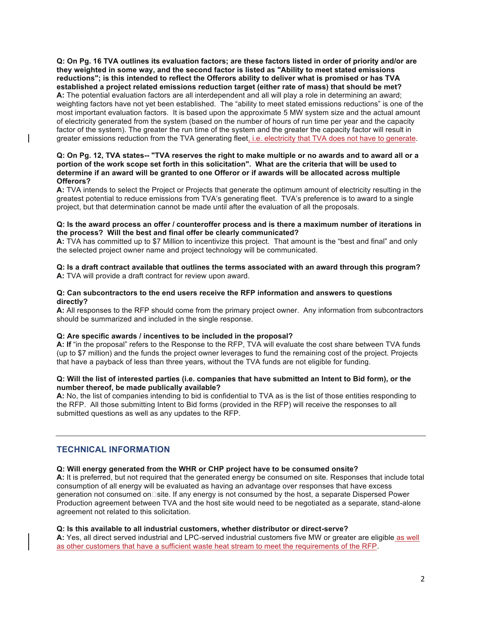**Q: On Pg. 16 TVA outlines its evaluation factors;; are these factors listed in order of priority and/or are they weighted in some way, and the second factor is listed as "Ability to meet stated emissions**  reductions"; is this intended to reflect the Offerors ability to deliver what is promised or has TVA **established a project related emissions reduction target (either rate of mass) that should be met?** A: The potential evaluation factors are all interdependent and all will play a role in determining an award; weighting factors have not yet been established. The "ability to meet stated emissions reductions" is one of the most important evaluation factors. It is based upon the approximate 5 MW system size and the actual amount of electricity generated from the system (based on the number of hours of run time per year and the capacity factor of the system). The greater the run time of the system and the greater the capacity factor will result in greater emissions reduction from the TVA generating fleet, i.e. electricity that TVA does not have to generate.

#### **Q: On Pg. 12, TVA states-- "TVA reserves the right to make multiple or no awards and to award all or a portion of the work scope set forth in this solicitation". What are the criteria that will be used to determine if an award will be granted to one Offeror or if awards will be allocated across multiple Offerors?**

A: TVA intends to select the Project or Projects that generate the optimum amount of electricity resulting in the greatest potential to reduce emissions from TVA's generating fleet. TVA's preference is to award to a single project, but that determination cannot be made until after the evaluation of all the proposals.

#### **Q: Is the award process an offer / counteroffer process and is there a maximum number of iterations in the process? Will the best and final offer be clearly communicated?**

A: TVA has committed up to \$7 Million to incentivize this project. That amount is the "best and final" and only the selected project owner name and project technology will be communicated.

#### **Q: Is a draft contract available that outlines the terms associated with an award through this program? A:** TVA will provide a draft contract for review upon award.

#### **Q: Can subcontractors to the end users receive the RFP information and answers to questions directly?**

A: All responses to the RFP should come from the primary project owner. Any information from subcontractors should be summarized and included in the single response.

#### **Q: Are specific awards / incentives to be included in the proposal?**

A: If "in the proposal" refers to the Response to the RFP, TVA will evaluate the cost share between TVA funds (up to \$7 million) and the funds the project owner leverages to fund the remaining cost of the project. Projects that have a payback of less than three years, without the TVA funds are not eligible for funding.

#### **Q: Will the list of interested parties (i.e. companies that have submitted an Intent to Bid form), or the number thereof, be made publically available?**

A: No, the list of companies intending to bid is confidential to TVA as is the list of those entities responding to the RFP. All those submitting Intent to Bid forms (provided in the RFP) will receive the responses to all submitted questions as well as any updates to the RFP.

# **TECHNICAL INFORMATION**

#### **Q: Will energy generated from the WHR or CHP project have to be consumed onsite?**

A: It is preferred, but not required that the generated energy be consumed on site. Responses that include total consumption of all energy will be evaluated as having an advantage over responses that have excess generation not consumed on 
site. If any energy is not consumed by the host, a separate Dispersed Power Production agreement between TVA and the host site would need to be negotiated as a separate, stand-alone agreement not related to this solicitation.

#### **Q: Is this available to all industrial customers, whether distributor or direct-serve?**

A: Yes, all direct served industrial and LPC-served industrial customers five MW or greater are eligible as well as other customers that have a sufficient waste heat stream to meet the requirements of the RFP.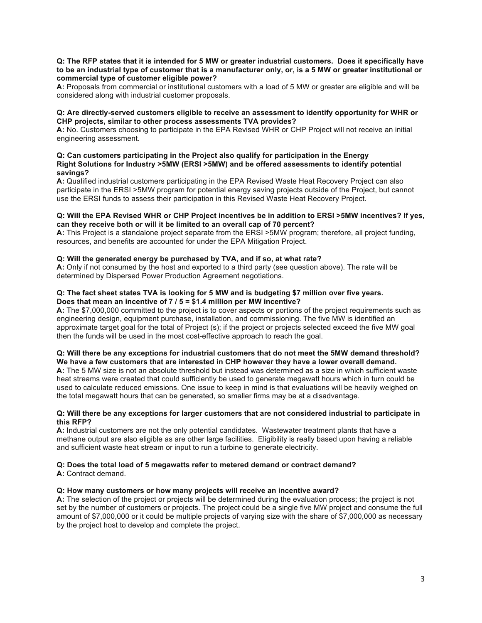#### **Q: The RFP states that it is intended for 5 MW or greater industrial customers. Does it specifically have**  to be an industrial type of customer that is a manufacturer only, or, is a 5 MW or greater institutional or **commercial type of customer eligible power?**

A: Proposals from commercial or institutional customers with a load of 5 MW or greater are eligible and will be considered along with industrial customer proposals.

### **Q: Are directly-served customers eligible to receive an assessment to identify opportunity for WHR or CHP projects, similar to other process assessments TVA provides?**

A: No. Customers choosing to participate in the EPA Revised WHR or CHP Project will not receive an initial engineering assessment.

#### **Q: Can customers participating in the Project also qualify for participation in the Energy Right Solutions for Industry >5MW (ERSI >5MW) and be offered assessments to identify potential savings?**

A: Qualified industrial customers participating in the EPA Revised Waste Heat Recovery Project can also participate in the ERSI >5MW program for potential energy saving projects outside of the Project, but cannot use the ERSI funds to assess their participation in this Revised Waste Heat Recovery Project.

#### **Q: Will the EPA Revised WHR or CHP Project incentives be in addition to ERSI >5MW incentives? If yes, can they receive both or will it be limited to an overall cap of 70 percent?**

**A:** This Project is a standalone project separate from the ERSI >5MW program;; therefore, all project funding, resources, and benefits are accounted for under the EPA Mitigation Project.

## **Q: Will the generated energy be purchased by TVA, and if so, at what rate?**

A: Only if not consumed by the host and exported to a third party (see question above). The rate will be determined by Dispersed Power Production Agreement negotiations.

#### **Q: The fact sheet states TVA is looking for 5 MW and is budgeting \$7 million over five years. Does that mean an incentive of 7 / 5 = \$1.4 million per MW incentive?**

A: The \$7,000,000 committed to the project is to cover aspects or portions of the project requirements such as engineering design, equipment purchase, installation, and commissioning. The five MW is identified an approximate target goal for the total of Project (s); if the project or projects selected exceed the five MW goal then the funds will be used in the most cost-effective approach to reach the goal.

#### **Q: Will there be any exceptions for industrial customers that do not meet the 5MW demand threshold? We have a few customers that are interested in CHP however they have a lower overall demand.**

A: The 5 MW size is not an absolute threshold but instead was determined as a size in which sufficient waste heat streams were created that could sufficiently be used to generate megawatt hours which in turn could be used to calculate reduced emissions. One issue to keep in mind is that evaluations will be heavily weighed on the total megawatt hours that can be generated, so smaller firms may be at a disadvantage.

#### **Q: Will there be any exceptions for larger customers that are not considered industrial to participate in this RFP?**

A: Industrial customers are not the only potential candidates. Wastewater treatment plants that have a methane output are also eligible as are other large facilities. Eligibility is really based upon having a reliable and sufficient waste heat stream or input to run a turbine to generate electricity.

# **Q: Does the total load of 5 megawatts refer to metered demand or contract demand?**

**A:** Contract demand.

# **Q: How many customers or how many projects will receive an incentive award?**

A: The selection of the project or projects will be determined during the evaluation process; the project is not set by the number of customers or projects. The project could be a single five MW project and consume the full amount of \$7,000,000 or it could be multiple projects of varying size with the share of \$7,000,000 as necessary by the project host to develop and complete the project.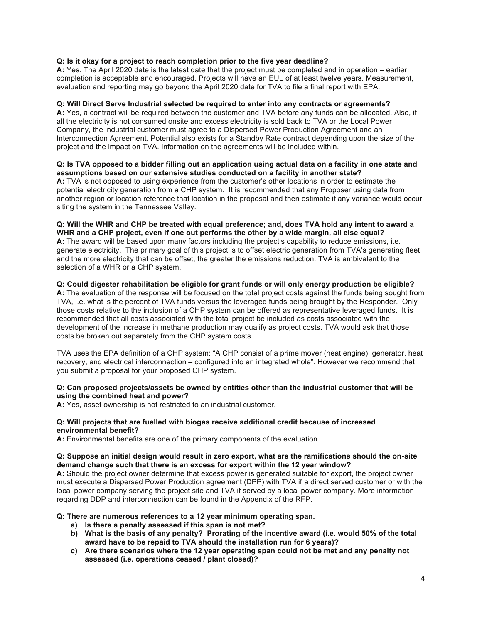# **Q: Is it okay for a project to reach completion prior to the five year deadline?**

A: Yes. The April 2020 date is the latest date that the project must be completed and in operation – earlier completion is acceptable and encouraged. Projects will have an EUL of at least twelve years. Measurement, evaluation and reporting may go beyond the April 2020 date for TVA to file a final report with EPA.

# **Q: Will Direct Serve Industrial selected be required to enter into any contracts or agreements?**

A: Yes, a contract will be required between the customer and TVA before any funds can be allocated. Also, if all the electricity is not consumed onsite and excess electricity is sold back to TVA or the Local Power Company, the industrial customer must agree to a Dispersed Power Production Agreement and an Interconnection Agreement. Potential also exists for a Standby Rate contract depending upon the size of the project and the impact on TVA. Information on the agreements will be included within.

#### **Q: Is TVA opposed to a bidder filling out an application using actual data on a facility in one state and assumptions based on our extensive studies conducted on a facility in another state?**

A: TVA is not opposed to using experience from the customer's other locations in order to estimate the potential electricity generation from a CHP system. It is recommended that any Proposer using data from another region or location reference that location in the proposal and then estimate if any variance would occur siting the system in the Tennessee Valley.

#### **Q: Will the WHR and CHP be treated with equal preference;; and, does TVA hold any intent to award a**  WHR and a CHP project, even if one out performs the other by a wide margin, all else equal?

A: The award will be based upon many factors including the project's capability to reduce emissions, i.e. generate electricity. The primary goal of this project is to offset electric generation from TVA's generating fleet and the more electricity that can be offset, the greater the emissions reduction. TVA is ambivalent to the selection of a WHR or a CHP system.

#### **Q: Could digester rehabilitation be eligible for grant funds or will only energy production be eligible?**

A: The evaluation of the response will be focused on the total project costs against the funds being sought from TVA, i.e. what is the percent of TVA funds versus the leveraged funds being brought by the Responder. Only those costs relative to the inclusion of a CHP system can be offered as representative leveraged funds. It is recommended that all costs associated with the total project be included as costs associated with the development of the increase in methane production may qualify as project costs. TVA would ask that those costs be broken out separately from the CHP system costs.

TVA uses the EPA definition of a CHP system: "A CHP consist of a prime mover (heat engine), generator, heat recovery, and electrical interconnection – configured into an integrated whole". However we recommend that you submit a proposal for your proposed CHP system.

#### **Q: Can proposed projects/assets be owned by entities other than the industrial customer that will be using the combined heat and power?**

**A:** Yes, asset ownership is not restricted to an industrial customer.

#### **Q: Will projects that are fuelled with biogas receive additional credit because of increased environmental benefit?**

**A:** Environmental benefits are one of the primary components of the evaluation.

#### **Q: Suppose an initial design would result in zero export, what are the ramifications should the on-site demand change such that there is an excess for export within the 12 year window?**

A: Should the project owner determine that excess power is generated suitable for export, the project owner must execute a Dispersed Power Production agreement (DPP) with TVA if a direct served customer or with the local power company serving the project site and TVA if served by a local power company. More information regarding DDP and interconnection can be found in the Appendix of the RFP.

#### **Q: There are numerous references to a 12 year minimum operating span.**

- a) Is there a penalty assessed if this span is not met?
- **b) What is the basis of any penalty? Prorating of the incentive award (i.e. would 50% of the total**  award have to be repaid to TVA should the installation run for 6 years)?
- c) Are there scenarios where the 12 year operating span could not be met and any penalty not **assessed (i.e. operations ceased / plant closed)?**